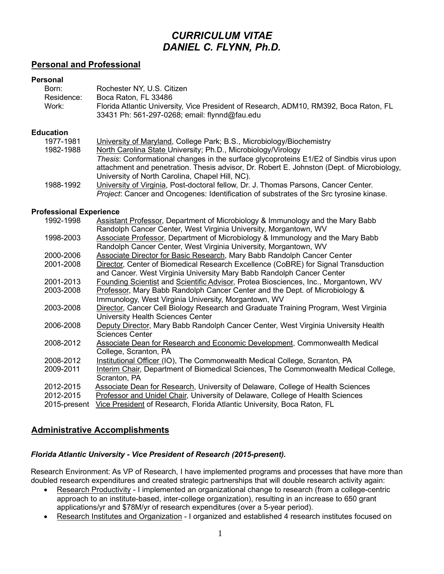# *CURRICULUM VITAE DANIEL C. FLYNN, Ph.D.*

# **Personal and Professional**

#### **Personal**

| Born:      | Rochester NY, U.S. Citizen                                                            |
|------------|---------------------------------------------------------------------------------------|
| Residence: | Boca Raton. FL 33486                                                                  |
| Work:      | Florida Atlantic University, Vice President of Research, ADM10, RM392, Boca Raton, FL |
|            | 33431 Ph: 561-297-0268; email: flynnd@fau.edu                                         |

#### **Education**

| 1977-1981 | University of Maryland, College Park; B.S., Microbiology/Biochemistry                          |
|-----------|------------------------------------------------------------------------------------------------|
| 1982-1988 | North Carolina State University; Ph.D., Microbiology/Virology                                  |
|           | Thesis: Conformational changes in the surface glycoproteins E1/E2 of Sindbis virus upon        |
|           | attachment and penetration. Thesis advisor, Dr. Robert E. Johnston (Dept. of Microbiology,     |
|           | University of North Carolina, Chapel Hill, NC).                                                |
| 1988-1992 | University of Virginia, Post-doctoral fellow, Dr. J. Thomas Parsons, Cancer Center.            |
|           | <i>Project:</i> Cancer and Oncogenes: Identification of substrates of the Src tyrosine kinase. |

#### **Professional Experience**

| 1992-1998    | Assistant Professor, Department of Microbiology & Immunology and the Mary Babb      |
|--------------|-------------------------------------------------------------------------------------|
|              | Randolph Cancer Center, West Virginia University, Morgantown, WV                    |
| 1998-2003    | Associate Professor, Department of Microbiology & Immunology and the Mary Babb      |
|              | Randolph Cancer Center, West Virginia University, Morgantown, WV                    |
| 2000-2006    | <b>Associate Director for Basic Research, Mary Babb Randolph Cancer Center</b>      |
| 2001-2008    | Director, Center of Biomedical Research Excellence (CoBRE) for Signal Transduction  |
|              | and Cancer. West Virginia University Mary Babb Randolph Cancer Center               |
| 2001-2013    | Founding Scientist and Scientific Advisor, Protea Biosciences, Inc., Morgantown, WV |
| 2003-2008    | Professor, Mary Babb Randolph Cancer Center and the Dept. of Microbiology &         |
|              | Immunology, West Virginia University, Morgantown, WV                                |
| 2003-2008    | Director, Cancer Cell Biology Research and Graduate Training Program, West Virginia |
|              | University Health Sciences Center                                                   |
| 2006-2008    | Deputy Director, Mary Babb Randolph Cancer Center, West Virginia University Health  |
|              | <b>Sciences Center</b>                                                              |
| 2008-2012    | Associate Dean for Research and Economic Development, Commonwealth Medical          |
|              | College, Scranton, PA                                                               |
| 2008-2012    | Institutional Officer (IO), The Commonwealth Medical College, Scranton, PA          |
| 2009-2011    | Interim Chair, Department of Biomedical Sciences, The Commonwealth Medical College, |
|              | Scranton, PA                                                                        |
| 2012-2015    | Associate Dean for Research, University of Delaware, College of Health Sciences     |
| 2012-2015    | Professor and Unidel Chair, University of Delaware, College of Health Sciences      |
| 2015-present | Vice President of Research, Florida Atlantic University, Boca Raton, FL             |
|              |                                                                                     |

## **Administrative Accomplishments**

#### *Florida Atlantic University - Vice President of Research (2015-present).*

Research Environment: As VP of Research, I have implemented programs and processes that have more than doubled research expenditures and created strategic partnerships that will double research activity again:

- Research Productivity I implemented an organizational change to research (from a college-centric approach to an institute-based, inter-college organization), resulting in an increase to 650 grant applications/yr and \$78M/yr of research expenditures (over a 5-year period).
- Research Institutes and Organization I organized and established 4 research institutes focused on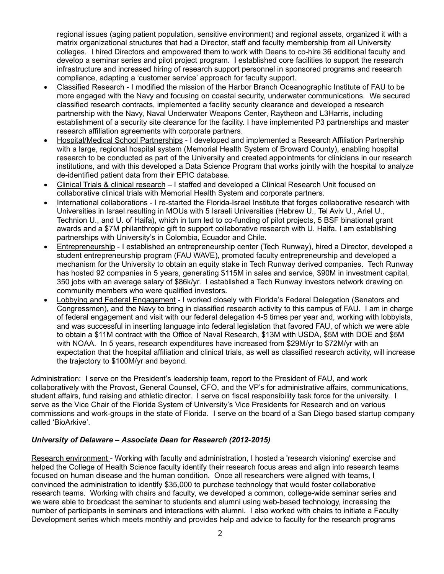regional issues (aging patient population, sensitive environment) and regional assets, organized it with a matrix organizational structures that had a Director, staff and faculty membership from all University colleges. I hired Directors and empowered them to work with Deans to co-hire 36 additional faculty and develop a seminar series and pilot project program. I established core facilities to support the research infrastructure and increased hiring of research support personnel in sponsored programs and research compliance, adapting a 'customer service' approach for faculty support.

- Classified Research I modified the mission of the Harbor Branch Oceanographic Institute of FAU to be more engaged with the Navy and focusing on coastal security, underwater communications. We secured classified research contracts, implemented a facility security clearance and developed a research partnership with the Navy, Naval Underwater Weapons Center, Raytheon and L3Harris, including establishment of a security site clearance for the facility. I have implemented P3 partnerships and master research affiliation agreements with corporate partners.
- Hospital/Medical School Partnerships I developed and implemented a Research Affiliation Partnership with a large, regional hospital system (Memorial Health System of Broward County), enabling hospital research to be conducted as part of the University and created appointments for clinicians in our research institutions, and with this developed a Data Science Program that works jointly with the hospital to analyze de-identified patient data from their EPIC database.
- Clinical Trials & clinical research I staffed and developed a Clinical Research Unit focused on collaborative clinical trials with Memorial Health System and corporate partners.
- International collaborations I re-started the Florida-Israel Institute that forges collaborative research with Universities in Israel resulting in MOUs with 5 Israeli Universities (Hebrew U., Tel Aviv U., Ariel U., Technion U., and U. of Haifa), which in turn led to co-funding of pilot projects, 5 BSF binational grant awards and a \$7M philanthropic gift to support collaborative research with U. Haifa. I am establishing partnerships with University's in Colombia, Ecuador and Chile.
- Entrepreneurship I established an entrepreneurship center (Tech Runway), hired a Director, developed a student entrepreneurship program (FAU WAVE), promoted faculty entrepreneurship and developed a mechanism for the University to obtain an equity stake in Tech Runway derived companies. Tech Runway has hosted 92 companies in 5 years, generating \$115M in sales and service, \$90M in investment capital, 350 jobs with an average salary of \$86k/yr. I established a Tech Runway investors network drawing on community members who were qualified investors.
- Lobbying and Federal Engagement I worked closely with Florida's Federal Delegation (Senators and Congressmen), and the Navy to bring in classified research activity to this campus of FAU. I am in charge of federal engagement and visit with our federal delegation 4-5 times per year and, working with lobbyists, and was successful in inserting language into federal legislation that favored FAU, of which we were able to obtain a \$11M contract with the Office of Naval Research, \$13M with USDA, \$5M with DOE and \$5M with NOAA. In 5 years, research expenditures have increased from \$29M/yr to \$72M/yr with an expectation that the hospital affiliation and clinical trials, as well as classified research activity, will increase the trajectory to \$100M/yr and beyond.

Administration: I serve on the President's leadership team, report to the President of FAU, and work collaboratively with the Provost, General Counsel, CFO, and the VP's for administrative affairs, communications, student affairs, fund raising and athletic director. I serve on fiscal responsibility task force for the university. I serve as the Vice Chair of the Florida System of University's Vice Presidents for Research and on various commissions and work-groups in the state of Florida. I serve on the board of a San Diego based startup company called 'BioArkive'.

## *University of Delaware – Associate Dean for Research (2012-2015)*

Research environment - Working with faculty and administration, I hosted a 'research visioning' exercise and helped the College of Health Science faculty identify their research focus areas and align into research teams focused on human disease and the human condition. Once all researchers were aligned with teams, I convinced the administration to identify \$35,000 to purchase technology that would foster collaborative research teams. Working with chairs and faculty, we developed a common, college-wide seminar series and we were able to broadcast the seminar to students and alumni using web-based technology, increasing the number of participants in seminars and interactions with alumni. I also worked with chairs to initiate a Faculty Development series which meets monthly and provides help and advice to faculty for the research programs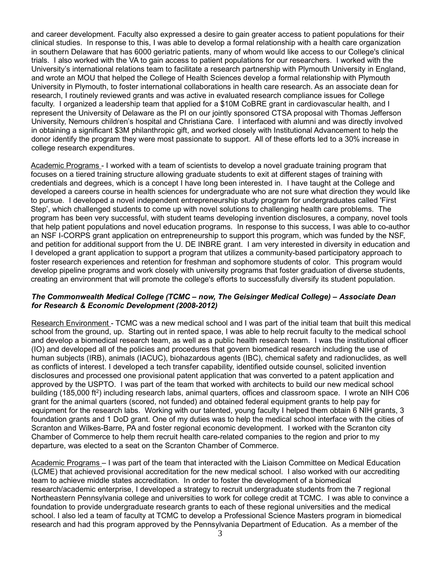and career development. Faculty also expressed a desire to gain greater access to patient populations for their clinical studies. In response to this, I was able to develop a formal relationship with a health care organization in southern Delaware that has 6000 geriatric patients, many of whom would like access to our College's clinical trials. I also worked with the VA to gain access to patient populations for our researchers. I worked with the University's international relations team to facilitate a research partnership with Plymouth University in England, and wrote an MOU that helped the College of Health Sciences develop a formal relationship with Plymouth University in Plymouth, to foster international collaborations in health care research. As an associate dean for research, I routinely reviewed grants and was active in evaluated research compliance issues for College faculty. I organized a leadership team that applied for a \$10M CoBRE grant in cardiovascular health, and I represent the University of Delaware as the PI on our jointly sponsored CTSA proposal with Thomas Jefferson University, Nemours children's hospital and Christiana Care. I interfaced with alumni and was directly involved in obtaining a significant \$3M philanthropic gift, and worked closely with Institutional Advancement to help the donor identify the program they were most passionate to support. All of these efforts led to a 30% increase in college research expenditures.

Academic Programs - I worked with a team of scientists to develop a novel graduate training program that focuses on a tiered training structure allowing graduate students to exit at different stages of training with credentials and degrees, which is a concept I have long been interested in. I have taught at the College and developed a careers course in health sciences for undergraduate who are not sure what direction they would like to pursue. I developed a novel independent entrepreneurship study program for undergraduates called 'First Step', which challenged students to come up with novel solutions to challenging health care problems. The program has been very successful, with student teams developing invention disclosures, a company, novel tools that help patient populations and novel education programs. In response to this success, I was able to co-author an NSF I-CORPS grant application on entrepreneurship to support this program, which was funded by the NSF, and petition for additional support from the U. DE INBRE grant. I am very interested in diversity in education and I developed a grant application to support a program that utilizes a community-based participatory approach to foster research experiences and retention for freshman and sophomore students of color. This program would develop pipeline programs and work closely with university programs that foster graduation of diverse students, creating an environment that will promote the college's efforts to successfully diversify its student population.

#### *The Commonwealth Medical College (TCMC – now, The Geisinger Medical College) – Associate Dean for Research & Economic Development (2008-2012)*

Research Environment - TCMC was a new medical school and I was part of the initial team that built this medical school from the ground, up. Starting out in rented space, I was able to help recruit faculty to the medical school and develop a biomedical research team, as well as a public health research team. I was the institutional officer (IO) and developed all of the policies and procedures that govern biomedical research including the use of human subjects (IRB), animals (IACUC), biohazardous agents (IBC), chemical safety and radionuclides, as well as conflicts of interest. I developed a tech transfer capability, identified outside counsel, solicited invention disclosures and processed one provisional patent application that was converted to a patent application and approved by the USPTO. I was part of the team that worked with architects to build our new medical school building (185,000 ft<sup>2</sup>) including research labs, animal quarters, offices and classroom space. I wrote an NIH C06 grant for the animal quarters (scored, not funded) and obtained federal equipment grants to help pay for equipment for the research labs. Working with our talented, young faculty I helped them obtain 6 NIH grants, 3 foundation grants and 1 DoD grant. One of my duties was to help the medical school interface with the cities of Scranton and Wilkes-Barre, PA and foster regional economic development. I worked with the Scranton city Chamber of Commerce to help them recruit health care-related companies to the region and prior to my departure, was elected to a seat on the Scranton Chamber of Commerce.

Academic Programs – I was part of the team that interacted with the Liaison Committee on Medical Education (LCME) that achieved provisional accreditation for the new medical school. I also worked with our accrediting team to achieve middle states accreditation. In order to foster the development of a biomedical research/academic enterprise, I developed a strategy to recruit undergraduate students from the 7 regional Northeastern Pennsylvania college and universities to work for college credit at TCMC. I was able to convince a foundation to provide undergraduate research grants to each of these regional universities and the medical school. I also led a team of faculty at TCMC to develop a Professional Science Masters program in biomedical research and had this program approved by the Pennsylvania Department of Education. As a member of the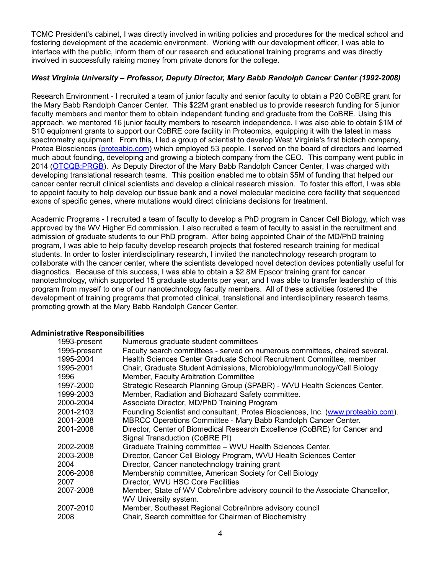TCMC President's cabinet, I was directly involved in writing policies and procedures for the medical school and fostering development of the academic environment. Working with our development officer, I was able to interface with the public, inform them of our research and educational training programs and was directly involved in successfully raising money from private donors for the college.

### *West Virginia University – Professor, Deputy Director, Mary Babb Randolph Cancer Center (1992-2008)*

Research Environment - I recruited a team of junior faculty and senior faculty to obtain a P20 CoBRE grant for the Mary Babb Randolph Cancer Center. This \$22M grant enabled us to provide research funding for 5 junior faculty members and mentor them to obtain independent funding and graduate from the CoBRE. Using this approach, we mentored 16 junior faculty members to research independence. I was also able to obtain \$1M of S10 equipment grants to support our CoBRE core facility in Proteomics, equipping it with the latest in mass spectrometry equipment. From this, I led a group of scientist to develop West Virginia's first biotech company, Protea Biosciences (proteabio.com) which employed 53 people. I served on the board of directors and learned much about founding, developing and growing a biotech company from the CEO. This company went public in 2014 (OTCQB:PRGB). As Deputy Director of the Mary Babb Randolph Cancer Center, I was charged with developing translational research teams. This position enabled me to obtain \$5M of funding that helped our cancer center recruit clinical scientists and develop a clinical research mission. To foster this effort, I was able to appoint faculty to help develop our tissue bank and a novel molecular medicine core facility that sequenced exons of specific genes, where mutations would direct clinicians decisions for treatment.

Academic Programs - I recruited a team of faculty to develop a PhD program in Cancer Cell Biology, which was approved by the WV Higher Ed commission. I also recruited a team of faculty to assist in the recruitment and admission of graduate students to our PhD program. After being appointed Chair of the MD/PhD training program, I was able to help faculty develop research projects that fostered research training for medical students. In order to foster interdisciplinary research, I invited the nanotechnology research program to collaborate with the cancer center, where the scientists developed novel detection devices potentially useful for diagnostics. Because of this success, I was able to obtain a \$2.8M Epscor training grant for cancer nanotechnology, which supported 15 graduate students per year, and I was able to transfer leadership of this program from myself to one of our nanotechnology faculty members. All of these activities fostered the development of training programs that promoted clinical, translational and interdisciplinary research teams, promoting growth at the Mary Babb Randolph Cancer Center.

#### **Administrative Responsibilities**

| 1993-present | Numerous graduate student committees                                             |
|--------------|----------------------------------------------------------------------------------|
| 1995-present | Faculty search committees - served on numerous committees, chaired several.      |
| 1995-2004    | Health Sciences Center Graduate School Recruitment Committee, member             |
| 1995-2001    | Chair, Graduate Student Admissions, Microbiology/Immunology/Cell Biology         |
| 1996         | Member, Faculty Arbitration Committee                                            |
| 1997-2000    | Strategic Research Planning Group (SPABR) - WVU Health Sciences Center.          |
| 1999-2003    | Member, Radiation and Biohazard Safety committee.                                |
| 2000-2004    | Associate Director, MD/PhD Training Program                                      |
| 2001-2103    | Founding Scientist and consultant, Protea Biosciences, Inc. (www.proteabio.com). |
| 2001-2008    | MBRCC Operations Committee - Mary Babb Randolph Cancer Center.                   |
| 2001-2008    | Director, Center of Biomedical Research Excellence (CoBRE) for Cancer and        |
|              | Signal Transduction (CoBRE PI)                                                   |
| 2002-2008    | Graduate Training committee - WVU Health Sciences Center.                        |
| 2003-2008    | Director, Cancer Cell Biology Program, WVU Health Sciences Center                |
| 2004         | Director, Cancer nanotechnology training grant                                   |
| 2006-2008    | Membership committee, American Society for Cell Biology                          |
| 2007         | Director, WVU HSC Core Facilities                                                |
| 2007-2008    | Member, State of WV Cobre/inbre advisory council to the Associate Chancellor,    |
|              | WV University system.                                                            |
| 2007-2010    | Member, Southeast Regional Cobre/Inbre advisory council                          |
| 2008         | Chair, Search committee for Chairman of Biochemistry                             |
|              |                                                                                  |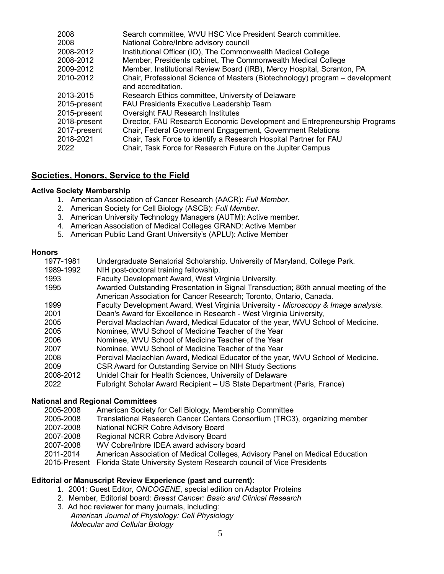| Search committee, WVU HSC Vice President Search committee.                   |
|------------------------------------------------------------------------------|
| National Cobre/Inbre advisory council                                        |
| Institutional Officer (IO), The Commonwealth Medical College                 |
| Member, Presidents cabinet, The Commonwealth Medical College                 |
| Member, Institutional Review Board (IRB), Mercy Hospital, Scranton, PA       |
| Chair, Professional Science of Masters (Biotechnology) program – development |
| and accreditation.                                                           |
| Research Ethics committee, University of Delaware                            |
| <b>FAU Presidents Executive Leadership Team</b>                              |
| Oversight FAU Research Institutes                                            |
| Director, FAU Research Economic Development and Entrepreneurship Programs    |
| Chair, Federal Government Engagement, Government Relations                   |
| Chair, Task Force to identify a Research Hospital Partner for FAU            |
| Chair, Task Force for Research Future on the Jupiter Campus                  |
|                                                                              |

# **Societies, Honors, Service to the Field**

#### **Active Society Membership**

- 1. American Association of Cancer Research (AACR): *Full Member*.
- 2. American Society for Cell Biology (ASCB): *Full Member*.
- 3. American University Technology Managers (AUTM): Active member.
- 4. American Association of Medical Colleges GRAND: Active Member
- 5. American Public Land Grant University's (APLU): Active Member

#### **Honors**

| 1977-1981 | Undergraduate Senatorial Scholarship. University of Maryland, College Park.         |
|-----------|-------------------------------------------------------------------------------------|
| 1989-1992 | NIH post-doctoral training fellowship.                                              |
| 1993      | Faculty Development Award, West Virginia University.                                |
| 1995      | Awarded Outstanding Presentation in Signal Transduction; 86th annual meeting of the |
|           | American Association for Cancer Research; Toronto, Ontario, Canada.                 |
| 1999      | Faculty Development Award, West Virginia University - Microscopy & Image analysis.  |
| 2001      | Dean's Award for Excellence in Research - West Virginia University,                 |
| 2005      | Percival Maclachlan Award, Medical Educator of the year, WVU School of Medicine.    |
| 2005      | Nominee, WVU School of Medicine Teacher of the Year                                 |
| 2006      | Nominee, WVU School of Medicine Teacher of the Year                                 |
| 2007      | Nominee, WVU School of Medicine Teacher of the Year                                 |
| 2008      | Percival Maclachlan Award, Medical Educator of the year, WVU School of Medicine.    |
| 2009      | CSR Award for Outstanding Service on NIH Study Sections                             |
| 2008-2012 | Unidel Chair for Health Sciences, University of Delaware                            |
| 2022      | Fulbright Scholar Award Recipient - US State Department (Paris, France)             |

#### **National and Regional Committees**

- 2005-2008 American Society for Cell Biology, Membership Committee
- 2005-2008 Translational Research Cancer Centers Consortium (TRC3), organizing member
- 2007-2008 National NCRR Cobre Advisory Board
- 2007-2008 Regional NCRR Cobre Advisory Board
- 2007-2008 WV Cobre/Inbre IDEA award advisory board
- 2011-2014 American Association of Medical Colleges, Advisory Panel on Medical Education

2015-Present Florida State University System Research council of Vice Presidents

#### **Editorial or Manuscript Review Experience (past and current):**

- 1. 2001: Guest Editor, *ONCOGENE*, special edition on Adaptor Proteins
- 2. Member, Editorial board: *Breast Cancer: Basic and Clinical Research*
- 3. Ad hoc reviewer for many journals, including: *American Journal of Physiology: Cell Physiology Molecular and Cellular Biology*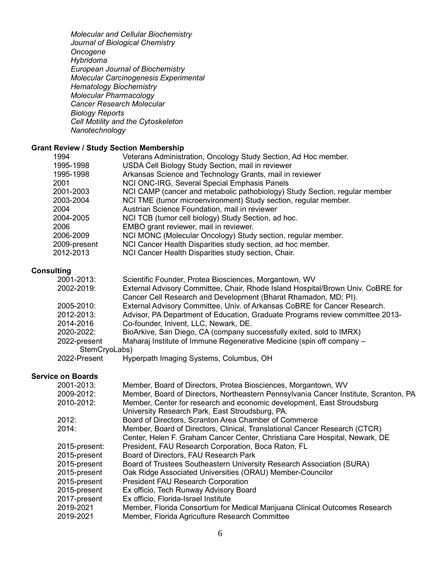*Molecular and Cellular Biochemistry Journal of Biological Chemistry Oncogene Hybridoma European Journal of Biochemistry Molecular Carcinogenesis Experimental Hematology Biochemistry Molecular Pharmacology Cancer Research Molecular Biology Reports Cell Motility and the Cytoskeleton Nanotechnology*

### **Grant Review / Study Section Membership**

| 1994         | Veterans Administration, Oncology Study Section, Ad Hoc member.            |
|--------------|----------------------------------------------------------------------------|
| 1995-1998    | USDA Cell Biology Study Section, mail in reviewer                          |
| 1995-1998    | Arkansas Science and Technology Grants, mail in reviewer                   |
| 2001         | NCI ONC-IRG, Several Special Emphasis Panels                               |
| 2001-2003    | NCI CAMP (cancer and metabolic pathobiology) Study Section, regular member |
| 2003-2004    | NCI TME (tumor microenvironment) Study section, regular member.            |
| 2004         | Austrian Science Foundation, mail in reviewer                              |
| 2004-2005    | NCI TCB (tumor cell biology) Study Section, ad hoc.                        |
| 2006         | EMBO grant reviewer, mail in reviewer.                                     |
| 2006-2009    | NCI MONC (Molecular Oncology) Study section, regular member.               |
| 2009-present | NCI Cancer Health Disparities study section, ad hoc member.                |
| 2012-2013    | NCI Cancer Health Disparities study section, Chair.                        |

#### **Consulting**

| 2001-2013:    | Scientific Founder, Protea Biosciences, Morgantown, WV                          |
|---------------|---------------------------------------------------------------------------------|
| 2002-2019:    | External Advisory Committee, Chair, Rhode Island Hospital/Brown Univ. CoBRE for |
|               | Cancer Cell Research and Development (Bharat Rhamadon, MD; PI).                 |
| 2005-2010:    | External Advisory Committee, Univ. of Arkansas CoBRE for Cancer Research.       |
| 2012-2013:    | Advisor, PA Department of Education, Graduate Programs review committee 2013-   |
| 2014-2016     | Co-founder, Inivent, LLC, Newark, DE.                                           |
| 2020-2022:    | BioArkive, San Diego, CA (company successfully exited, sold to IMRX)            |
| 2022-present  | Maharaj Institute of Immune Regenerative Medicine (spin off company -           |
| StemCryoLabs) |                                                                                 |
|               |                                                                                 |

#### 2022-Present Hyperpath Imaging Systems, Columbus, OH

# **Service on Boards**

| 2001-2013:    | Member, Board of Directors, Protea Biosciences, Morgantown, WV                       |
|---------------|--------------------------------------------------------------------------------------|
| 2009-2012:    | Member, Board of Directors, Northeastern Pennsylvania Cancer Institute, Scranton, PA |
| 2010-2012:    | Member, Center for research and economic development, East Stroudsburg               |
|               | University Research Park, East Stroudsburg, PA.                                      |
| 2012:         | Board of Directors, Scranton Area Chamber of Commerce                                |
| 2014:         | Member, Board of Directors, Clinical, Translational Cancer Research (CTCR)           |
|               | Center, Helen F. Graham Cancer Center, Christiana Care Hospital, Newark, DE          |
| 2015-present: | President, FAU Research Corporation, Boca Raton, FL                                  |
| 2015-present  | Board of Directors, FAU Research Park                                                |
| 2015-present  | Board of Trustees Southeastern University Research Association (SURA)                |
| 2015-present  | Oak Ridge Associated Universities (ORAU) Member-Councilor                            |
| 2015-present  | <b>President FAU Research Corporation</b>                                            |
| 2015-present  | Ex officio, Tech Runway Advisory Board                                               |
| 2017-present  | Ex officio, Florida-Israel Institute                                                 |
| 2019-2021     | Member, Florida Consortium for Medical Marijuana Clinical Outcomes Research          |
| 2019-2021     | Member, Florida Agriculture Research Committee                                       |
|               |                                                                                      |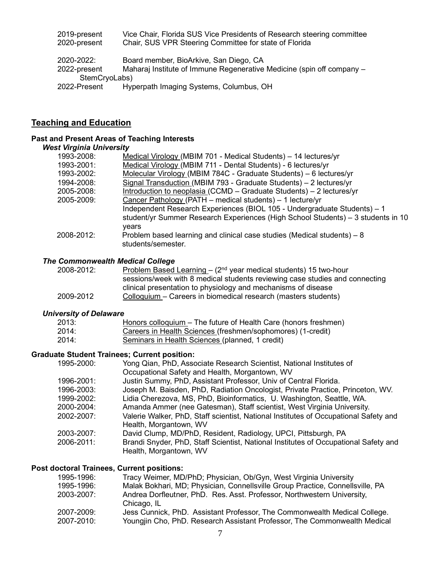| 2019-present<br>2020-present | Vice Chair, Florida SUS Vice Presidents of Research steering committee<br>Chair, SUS VPR Steering Committee for state of Florida |
|------------------------------|----------------------------------------------------------------------------------------------------------------------------------|
| 2020-2022:                   | Board member, BioArkive, San Diego, CA                                                                                           |
| 2022-present                 | Maharaj Institute of Immune Regenerative Medicine (spin off company -                                                            |
| StemCryoLabs)                |                                                                                                                                  |
| 2022-Present                 | Hyperpath Imaging Systems, Columbus, OH                                                                                          |

# **Teaching and Education**

#### **Past and Present Areas of Teaching Interests**

# *West Virginia University*

| 1993-2008: | Medical Virology (MBIM 701 - Medical Students) - 14 lectures/yr                                                                                                                                                           |
|------------|---------------------------------------------------------------------------------------------------------------------------------------------------------------------------------------------------------------------------|
| 1993-2001: | Medical Virology (MBIM 711 - Dental Students) - 6 lectures/yr                                                                                                                                                             |
| 1993-2002: | Molecular Virology (MBIM 784C - Graduate Students) - 6 lectures/yr                                                                                                                                                        |
| 1994-2008: | Signal Transduction (MBIM 793 - Graduate Students) – 2 lectures/yr                                                                                                                                                        |
| 2005-2008: | Introduction to neoplasia (CCMD – Graduate Students) – 2 lectures/yr                                                                                                                                                      |
| 2005-2009: | Cancer Pathology (PATH – medical students) – 1 lecture/yr<br>Independent Research Experiences (BIOL 105 - Undergraduate Students) - 1<br>student/yr Summer Research Experiences (High School Students) – 3 students in 10 |
|            | vears                                                                                                                                                                                                                     |
| 2008-2012: | Problem based learning and clinical case studies (Medical students) – 8<br>students/semester.                                                                                                                             |

#### *The Commonwealth Medical College*

| 2008-2012: | <u>Problem Based Learning</u> – $(2^{nd}$ year medical students) 15 two-hour |
|------------|------------------------------------------------------------------------------|
|            | sessions/week with 8 medical students reviewing case studies and connecting  |
|            | clinical presentation to physiology and mechanisms of disease                |
| 2009-2012  | Colloquium – Careers in biomedical research (masters students)               |

#### *University of Delaware*

| 2013: | Honors colloquium – The future of Health Care (honors freshmen) |
|-------|-----------------------------------------------------------------|
| 2014: | Careers in Health Sciences (freshmen/sophomores) (1-credit)     |
| 2014: | Seminars in Health Sciences (planned, 1 credit)                 |

#### **Graduate Student Trainees; Current position:**

| Yong Qian, PhD, Associate Research Scientist, National Institutes of                                           |
|----------------------------------------------------------------------------------------------------------------|
| Occupational Safety and Health, Morgantown, WV                                                                 |
| Justin Summy, PhD, Assistant Professor, Univ of Central Florida.                                               |
| Joseph M. Baisden, PhD, Radiation Oncologist, Private Practice, Princeton, WV.                                 |
| Lidia Cherezova, MS, PhD, Bioinformatics, U. Washington, Seattle, WA.                                          |
| Amanda Ammer (nee Gatesman), Staff scientist, West Virginia University.                                        |
| Valerie Walker, PhD, Staff scientist, National Institutes of Occupational Safety and<br>Health, Morgantown, WV |
| David Clump, MD/PhD, Resident, Radiology, UPCI, Pittsburgh, PA                                                 |
| Brandi Snyder, PhD, Staff Scientist, National Institutes of Occupational Safety and<br>Health, Morgantown, WV  |
|                                                                                                                |

#### **Post doctoral Trainees, Current positions:**

| 1995-1996: | Tracy Weimer, MD/PhD; Physician, Ob/Gyn, West Virginia University                      |
|------------|----------------------------------------------------------------------------------------|
| 1995-1996: | Malak Bokhari, MD; Physician, Connellsville Group Practice, Connellsville, PA          |
| 2003-2007: | Andrea Dorfleutner, PhD. Res. Asst. Professor, Northwestern University,<br>Chicago, IL |
| 2007-2009: | Jess Cunnick, PhD. Assistant Professor, The Commonwealth Medical College.              |
| 2007-2010: | Youngjin Cho, PhD. Research Assistant Professor, The Commonwealth Medical              |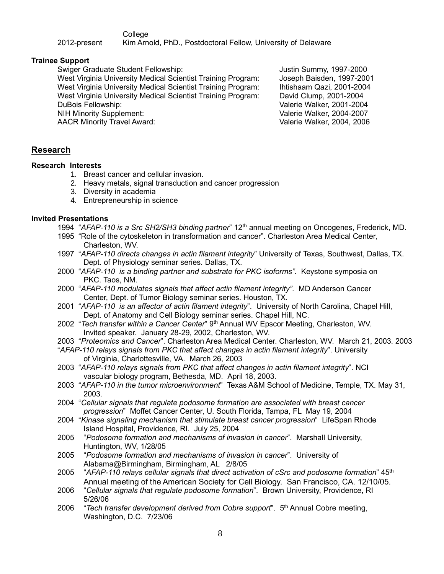College

2012-present Kim Arnold, PhD., Postdoctoral Fellow, University of Delaware

## **Trainee Support**

Swiger Graduate Student Fellowship:  $\sim$  Justin Summy, 1997-2000

West Virginia University Medical Scientist Training Program: Joseph Baisden, 1997-2001 West Virginia University Medical Scientist Training Program: Ihtishaam Qazi, 2001-2004 West Virginia University Medical Scientist Training Program: David Clump, 2001-2004 DuBois Fellowship: Valerie Walker, 2001-2004 NIH Minority Supplement: Valerie Walker, 2004-2007

AACR Minority Travel Award: Valerie Walker, 2004, 2006

# **Research**

### **Research Interests**

- 1. Breast cancer and cellular invasion.
- 2. Heavy metals, signal transduction and cancer progression
- 3. Diversity in academia
- 4. Entrepreneurship in science

### **Invited Presentations**

- 1994 "*AFAP-110 is a Src SH2/SH3 binding partner*" 12th annual meeting on Oncogenes, Frederick, MD.
- 1995 "Role of the cytoskeleton in transformation and cancer". Charleston Area Medical Center, Charleston, WV.
- 1997 "*AFAP-110 directs changes in actin filament integrity*" University of Texas, Southwest, Dallas, TX. Dept. of Physiology seminar series. Dallas, TX.
- 2000 "*AFAP-110 is a binding partner and substrate for PKC isoforms"*. Keystone symposia on PKC. Taos, NM.
- 2000 "*AFAP-110 modulates signals that affect actin filament integrity"*. MD Anderson Cancer Center, Dept. of Tumor Biology seminar series. Houston, TX.
- 2001 "*AFAP-110 is an affector of actin filament integrity*". University of North Carolina, Chapel Hill, Dept. of Anatomy and Cell Biology seminar series. Chapel Hill, NC.
- 2002 "*Tech transfer within a Cancer Center*" 9 th Annual WV Epscor Meeting, Charleston, WV. Invited speaker. January 28-29, 2002, Charleston, WV.
- 2003 "*Proteomics and Cancer*". Charleston Area Medical Center. Charleston, WV. March 21, 2003. 2003
- "*AFAP-110 relays signals from PKC that affect changes in actin filament integrity*". University of Virginia, Charlottesville, VA. March 26, 2003
- 2003 "*AFAP-110 relays signals from PKC that affect changes in actin filament integrity*". NCI vascular biology program, Bethesda, MD. April 18, 2003.
- 2003 "*AFAP-110 in the tumor microenvironment*" Texas A&M School of Medicine, Temple, TX. May 31, 2003.
- 2004 "*Cellular signals that regulate podosome formation are associated with breast cancer progression*" Moffet Cancer Center, U. South Florida, Tampa, FL May 19, 2004
- 2004 "*Kinase signaling mechanism that stimulate breast cancer progression*" LifeSpan Rhode Island Hospital, Providence, RI. July 25, 2004
- 2005 "*Podosome formation and mechanisms of invasion in cancer*". Marshall University, Huntington, WV, 1/28/05
- 2005 "*Podosome formation and mechanisms of invasion in cancer*". University of Alabama@Birmingham, Birmingham, AL 2/8/05
- 2005 "*AFAP-110 relays cellular signals that direct activation of cSrc and podosome formation*" 45th Annual meeting of the American Society for Cell Biology. San Francisco, CA. 12/10/05.
- 2006 "*Cellular signals that regulate podosome formation*". Brown University, Providence, RI 5/26/06
- 2006 "*Tech transfer development derived from Cobre support*". 5 th Annual Cobre meeting, Washington, D.C. 7/23/06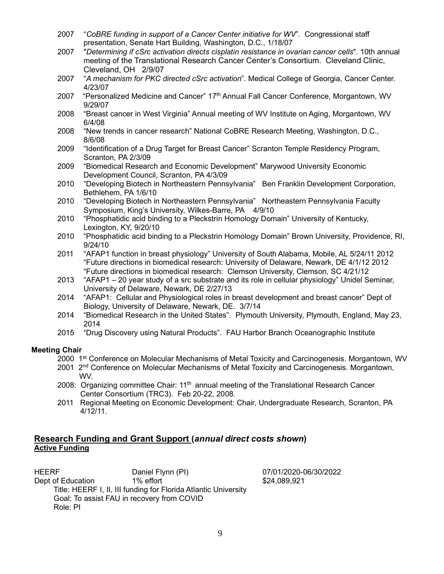- 2007 "*CoBRE funding in support of a Cancer Center initiative for WV*". Congressional staff presentation, Senate Hart Building, Washington, D.C., 1/18/07
- 2007 "*Determining if cSrc activation directs cisplatin resistance in ovarian cancer cells*". 10th annual meeting of the Translational Research Cancer Center's Consortium. Cleveland Clinic, Cleveland, OH 2/9/07
- 2007 "*A mechanism for PKC directed cSrc activation*". Medical College of Georgia, Cancer Center. 4/23/07
- 2007 "Personalized Medicine and Cancer" 17<sup>th</sup> Annual Fall Cancer Conference, Morgantown, WV 9/29/07
- 2008 "Breast cancer in West Virginia" Annual meeting of WV Institute on Aging, Morgantown, WV 6/4/08
- 2008 "New trends in cancer research" National CoBRE Research Meeting, Washington, D.C., 8/6/08
- 2009 "Identification of a Drug Target for Breast Cancer" Scranton Temple Residency Program, Scranton, PA 2/3/09
- 2009 "Biomedical Research and Economic Development" Marywood University Economic Development Council, Scranton, PA 4/3/09
- 2010 "Developing Biotech in Northeastern Pennsylvania" Ben Franklin Development Corporation, Bethlehem, PA 1/6/10
- 2010 "Developing Biotech in Northeastern Pennsylvania" Northeastern Pennsylvania Faculty Symposium, King's University, Wilkes-Barre, PA 4/9/10
- 2010 "Phosphatidic acid binding to a Pleckstrin Homology Domain" University of Kentucky, Lexington, KY, 9/20/10
- 2010 "Phosphatidic acid binding to a Pleckstrin Homology Domain" Brown University, Providence, RI, 9/24/10
- 2011 "AFAP1 function in breast physiology" University of South Alabama, Mobile, AL 5/24/11 2012 "Future directions in biomedical research: University of Delaware, Newark, DE 4/1/12 2012 "Future directions in biomedical research: Clemson University, Clemson, SC 4/21/12
- 2013 "AFAP1 20 year study of a src substrate and its role in cellular physiology" Unidel Seminar, University of Delaware, Newark, DE 2/27/13
- 2014 "AFAP1: Cellular and Physiological roles in breast development and breast cancer" Dept of Biology, University of Delaware, Newark, DE. 3/7/14
- 2014 "Biomedical Research in the United States". Plymouth University, Plymouth, England, May 23, 2014
- 2015 "Drug Discovery using Natural Products". FAU Harbor Branch Oceanographic Institute

#### **Meeting Chair**

- 2000 1<sup>st</sup> Conference on Molecular Mechanisms of Metal Toxicity and Carcinogenesis. Morgantown, WV
- 2001 2<sup>nd</sup> Conference on Molecular Mechanisms of Metal Toxicity and Carcinogenesis. Morgantown, WV.
- 2008: Organizing committee Chair:  $11<sup>th</sup>$  annual meeting of the Translational Research Cancer Center Consortium (TRC3). Feb 20-22, 2008.
- 2011 Regional Meeting on Economic Development: Chair, Undergraduate Research, Scranton, PA 4/12/11.

## **Research Funding and Grant Support (***annual direct costs shown***) Active Funding**

HEERF Daniel Flynn (PI) 07/01/2020-06/30/2022 Dept of Education 1% effort 10 minutes and the set of Education 324,089,921 Title: HEERF I, II, III funding for Florida Atlantic University Goal: To assist FAU in recovery from COVID Role: PI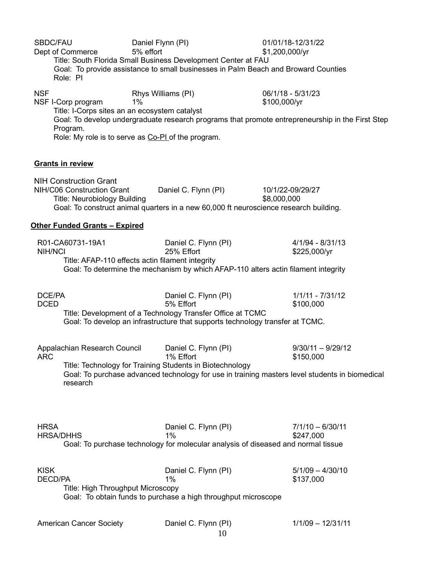| SBDC/FAU<br>Dept of Commerce<br>Role: PI                                                           | Daniel Flynn (PI)<br>5% effort<br>Title: South Florida Small Business Development Center at FAU<br>Goal: To provide assistance to small businesses in Palm Beach and Broward Counties | 01/01/18-12/31/22<br>\$1,200,000/yr                                                                                                   |
|----------------------------------------------------------------------------------------------------|---------------------------------------------------------------------------------------------------------------------------------------------------------------------------------------|---------------------------------------------------------------------------------------------------------------------------------------|
| <b>NSF</b><br>NSF I-Corp program<br>Title: I-Corps sites an an ecosystem catalyst<br>Program.      | Rhys Williams (PI)<br>1%<br>Role: My role is to serve as Co-PI of the program.                                                                                                        | 06/1/18 - 5/31/23<br>\$100,000/yr<br>Goal: To develop undergraduate research programs that promote entrepreneurship in the First Step |
| <b>Grants in review</b>                                                                            |                                                                                                                                                                                       |                                                                                                                                       |
| <b>NIH Construction Grant</b><br>NIH/C06 Construction Grant<br><b>Title: Neurobiology Building</b> | Daniel C. Flynn (PI)<br>Goal: To construct animal quarters in a new 60,000 ft neuroscience research building.                                                                         | 10/1/22-09/29/27<br>\$8,000,000                                                                                                       |
| <b>Other Funded Grants - Expired</b>                                                               |                                                                                                                                                                                       |                                                                                                                                       |
| R01-CA60731-19A1<br><b>NIH/NCI</b>                                                                 | Daniel C. Flynn (PI)<br>25% Effort<br>Title: AFAP-110 effects actin filament integrity<br>Goal: To determine the mechanism by which AFAP-110 alters actin filament integrity          | $4/1/94 - 8/31/13$<br>\$225,000/yr                                                                                                    |
| DCE/PA<br><b>DCED</b>                                                                              | Daniel C. Flynn (PI)<br>5% Effort<br>Title: Development of a Technology Transfer Office at TCMC<br>Goal: To develop an infrastructure that supports technology transfer at TCMC.      | $1/1/11 - 7/31/12$<br>\$100,000                                                                                                       |
| Appalachian Research Council<br>ARC<br>research                                                    | Daniel C. Flynn (PI)<br>1% Effort<br>Title: Technology for Training Students in Biotechnology                                                                                         | $9/30/11 - 9/29/12$<br>\$150,000<br>Goal: To purchase advanced technology for use in training masters level students in biomedical    |
| <b>HRSA</b><br><b>HRSA/DHHS</b>                                                                    | Daniel C. Flynn (PI)<br>1%<br>Goal: To purchase technology for molecular analysis of diseased and normal tissue                                                                       | $7/1/10 - 6/30/11$<br>\$247,000                                                                                                       |
| <b>KISK</b><br><b>DECD/PA</b><br>Title: High Throughput Microscopy                                 | Daniel C. Flynn (PI)<br>1%<br>Goal: To obtain funds to purchase a high throughput microscope                                                                                          | $5/1/09 - 4/30/10$<br>\$137,000                                                                                                       |
| <b>American Cancer Society</b>                                                                     | Daniel C. Flynn (PI)                                                                                                                                                                  | $1/1/09 - 12/31/11$                                                                                                                   |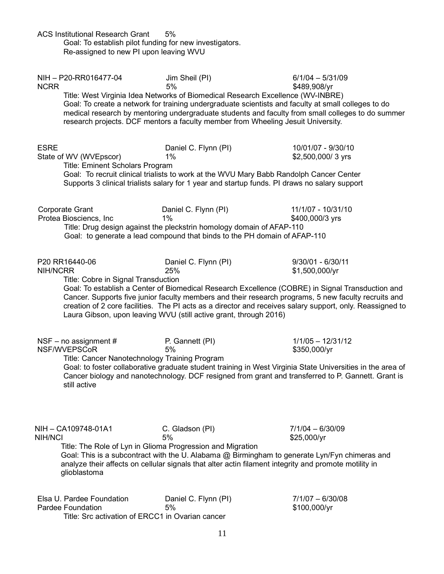| <b>ACS Institutional Research Grant</b>                                  | 5%<br>Goal: To establish pilot funding for new investigators.<br>Re-assigned to new PI upon leaving WVU                                                                                                                |                                                                                                                                                                                                                                                                                                                                                              |
|--------------------------------------------------------------------------|------------------------------------------------------------------------------------------------------------------------------------------------------------------------------------------------------------------------|--------------------------------------------------------------------------------------------------------------------------------------------------------------------------------------------------------------------------------------------------------------------------------------------------------------------------------------------------------------|
| NIH-P20-RR016477-04<br><b>NCRR</b>                                       | Jim Sheil (PI)<br>5%<br>Title: West Virginia Idea Networks of Biomedical Research Excellence (WV-INBRE)<br>research projects. DCF mentors a faculty member from Wheeling Jesuit University.                            | $6/1/04 - 5/31/09$<br>\$489,908/yr<br>Goal: To create a network for training undergraduate scientists and faculty at small colleges to do<br>medical research by mentoring undergraduate students and faculty from small colleges to do summer                                                                                                               |
| <b>ESRE</b><br>State of WV (WVEpscor)<br>Title: Eminent Scholars Program | Daniel C. Flynn (PI)<br>1%<br>Goal: To recruit clinical trialists to work at the WVU Mary Babb Randolph Cancer Center<br>Supports 3 clinical trialists salary for 1 year and startup funds. PI draws no salary support | 10/01/07 - 9/30/10<br>\$2,500,000/3 yrs                                                                                                                                                                                                                                                                                                                      |
| <b>Corporate Grant</b><br>Protea Biosciencs, Inc                         | Daniel C. Flynn (PI)<br>1%<br>Title: Drug design against the pleckstrin homology domain of AFAP-110<br>Goal: to generate a lead compound that binds to the PH domain of AFAP-110                                       | 11/1/07 - 10/31/10<br>\$400,000/3 yrs                                                                                                                                                                                                                                                                                                                        |
| P20 RR16440-06<br><b>NIH/NCRR</b><br>Title: Cobre in Signal Transduction | Daniel C. Flynn (PI)<br>25%<br>Laura Gibson, upon leaving WVU (still active grant, through 2016)                                                                                                                       | 9/30/01 - 6/30/11<br>\$1,500,000/yr<br>Goal: To establish a Center of Biomedical Research Excellence (COBRE) in Signal Transduction and<br>Cancer. Supports five junior faculty members and their research programs, 5 new faculty recruits and<br>creation of 2 core facilities. The PI acts as a director and receives salary support, only. Reassigned to |
| NSF – no assignment $#$<br>NSF/WVEPSCoR<br>still active                  | P. Gannett (PI)<br>5%<br>Title: Cancer Nanotechnology Training Program                                                                                                                                                 | $1/1/05 - 12/31/12$<br>\$350,000/yr<br>Goal: to foster collaborative graduate student training in West Virginia State Universities in the area of<br>Cancer biology and nanotechnology. DCF resigned from grant and transferred to P. Gannett. Grant is                                                                                                      |
| NIH - CA109748-01A1<br>NIH/NCI<br>glioblastoma                           | C. Gladson (PI)<br>5%<br>Title: The Role of Lyn in Glioma Progression and Migration                                                                                                                                    | $7/1/04 - 6/30/09$<br>\$25,000/yr<br>Goal: This is a subcontract with the U. Alabama @ Birmingham to generate Lyn/Fyn chimeras and<br>analyze their affects on cellular signals that alter actin filament integrity and promote motility in                                                                                                                  |
| Elsa U. Pardee Foundation<br>Pardee Foundation                           | Daniel C. Flynn (PI)<br>5%<br>Title: Src activation of ERCC1 in Ovarian cancer                                                                                                                                         | $7/1/07 - 6/30/08$<br>\$100,000/yr                                                                                                                                                                                                                                                                                                                           |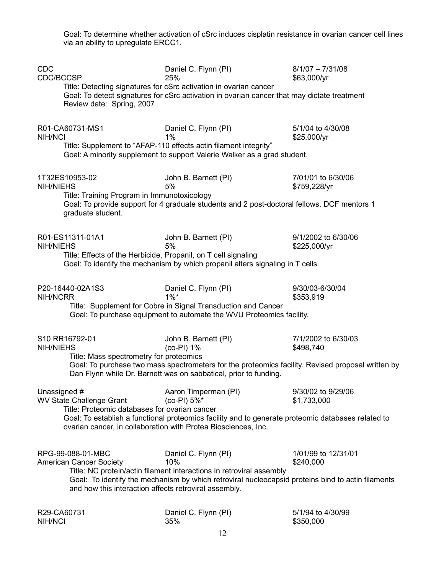Goal: To determine whether activation of cSrc induces cisplatin resistance in ovarian cancer cell lines via an ability to upregulate ERCC1.

| <b>CDC</b><br>CDC/BCCSP                                                           | Daniel C. Flynn (PI)<br>25%                                                                                                                                               | $8/1/07 - 7/31/08$<br>\$63,000/yr   |
|-----------------------------------------------------------------------------------|---------------------------------------------------------------------------------------------------------------------------------------------------------------------------|-------------------------------------|
| Review date: Spring, 2007                                                         | Title: Detecting signatures for cSrc activation in ovarian cancer<br>Goal: To detect signatures for cSrc activation in ovarian cancer that may dictate treatment          |                                     |
| R01-CA60731-MS1<br>NIH/NCI                                                        | Daniel C. Flynn (PI)<br>1%<br>Title: Supplement to "AFAP-110 effects actin filament integrity"                                                                            | 5/1/04 to 4/30/08<br>\$25,000/yr    |
|                                                                                   | Goal: A minority supplement to support Valerie Walker as a grad student.                                                                                                  |                                     |
| 1T32ES10953-02<br><b>NIH/NIEHS</b><br>Title: Training Program in Immunotoxicology | John B. Barnett (PI)<br>5%                                                                                                                                                | 7/01/01 to 6/30/06<br>\$759,228/yr  |
| graduate student.                                                                 | Goal: To provide support for 4 graduate students and 2 post-doctoral fellows. DCF mentors 1                                                                               |                                     |
| R01-ES11311-01A1<br><b>NIH/NIEHS</b>                                              | John B. Barnett (PI)<br>5%                                                                                                                                                | 9/1/2002 to 6/30/06<br>\$225,000/yr |
|                                                                                   | Title: Effects of the Herbicide, Propanil, on T cell signaling<br>Goal: To identify the mechanism by which propanil alters signaling in T cells.                          |                                     |
| P20-16440-02A1S3<br>NIH/NCRR                                                      | Daniel C. Flynn (PI)<br>$1\%$ *                                                                                                                                           | 9/30/03-6/30/04<br>\$353,919        |
|                                                                                   | Title: Supplement for Cobre in Signal Transduction and Cancer<br>Goal: To purchase equipment to automate the WVU Proteomics facility.                                     |                                     |
| S10 RR16792-01<br><b>NIH/NIEHS</b>                                                | John B. Barnett (PI)<br>$(co-PI)$ 1%                                                                                                                                      | 7/1/2002 to 6/30/03<br>\$498,740    |
| Title: Mass spectrometry for proteomics                                           | Goal: To purchase two mass spectrometers for the proteomics facility. Revised proposal written by<br>Dan Flynn while Dr. Barnett was on sabbatical, prior to funding.     |                                     |
| Unassigned #<br><b>WV State Challenge Grant</b>                                   | Aaron Timperman (PI)<br>(co-PI) 5%*                                                                                                                                       | 9/30/02 to 9/29/06<br>\$1,733,000   |
| Title: Proteomic databases for ovarian cancer                                     | Goal: To establish a functional proteomics facility and to generate proteomic databases related to<br>ovarian cancer, in collaboration with Protea Biosciences, Inc.      |                                     |
| RPG-99-088-01-MBC<br><b>American Cancer Society</b>                               | Daniel C. Flynn (PI)<br>10%                                                                                                                                               | 1/01/99 to 12/31/01<br>\$240,000    |
| and how this interaction affects retroviral assembly.                             | Title: NC protein/actin filament interactions in retroviral assembly<br>Goal: To identify the mechanism by which retroviral nucleocapsid proteins bind to actin filaments |                                     |
| R29-CA60731<br>NIH/NCI                                                            | Daniel C. Flynn (PI)<br>35%                                                                                                                                               | 5/1/94 to 4/30/99<br>\$350,000      |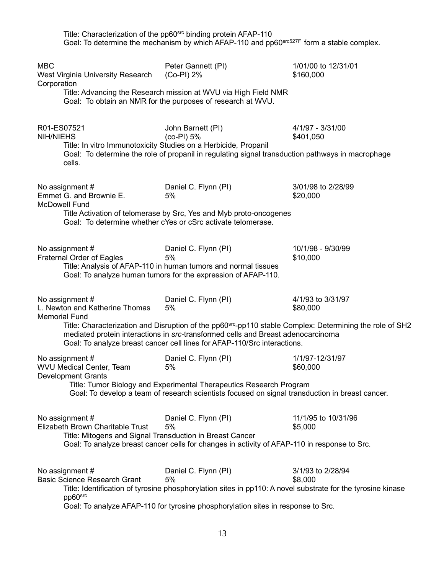|                                                                           | Title: Characterization of the pp60 <sup>src</sup> binding protein AFAP-110<br>Goal: To determine the mechanism by which AFAP-110 and $pp60^{src527F}$ form a stable complex.                                                                                                                                      |                                  |
|---------------------------------------------------------------------------|--------------------------------------------------------------------------------------------------------------------------------------------------------------------------------------------------------------------------------------------------------------------------------------------------------------------|----------------------------------|
| <b>MBC</b><br>West Virginia University Research<br>Corporation            | Peter Gannett (PI)<br>(Co-PI) 2%<br>Title: Advancing the Research mission at WVU via High Field NMR<br>Goal: To obtain an NMR for the purposes of research at WVU.                                                                                                                                                 | 1/01/00 to 12/31/01<br>\$160,000 |
| R01-ES07521<br><b>NIH/NIEHS</b><br>cells.                                 | John Barnett (PI)<br>(co-PI) 5%<br>Title: In vitro Immunotoxicity Studies on a Herbicide, Propanil<br>Goal: To determine the role of propanil in regulating signal transduction pathways in macrophage                                                                                                             | 4/1/97 - 3/31/00<br>\$401,050    |
| No assignment #<br>Emmet G. and Brownie E.<br><b>McDowell Fund</b>        | Daniel C. Flynn (PI)<br>5%<br>Title Activation of telomerase by Src, Yes and Myb proto-oncogenes<br>Goal: To determine whether cYes or cSrc activate telomerase.                                                                                                                                                   | 3/01/98 to 2/28/99<br>\$20,000   |
| No assignment #<br>Fraternal Order of Eagles                              | Daniel C. Flynn (PI)<br>5%<br>Title: Analysis of AFAP-110 in human tumors and normal tissues<br>Goal: To analyze human tumors for the expression of AFAP-110.                                                                                                                                                      | 10/1/98 - 9/30/99<br>\$10,000    |
| No assignment #<br>L. Newton and Katherine Thomas<br><b>Memorial Fund</b> | Daniel C. Flynn (PI)<br>5%<br>Title: Characterization and Disruption of the pp60 <sup>src</sup> -pp110 stable Complex: Determining the role of SH2<br>mediated protein interactions in src-transformed cells and Breast adenocarcinoma<br>Goal: To analyze breast cancer cell lines for AFAP-110/Src interactions. | 4/1/93 to 3/31/97<br>\$80,000    |
| No assignment #<br>WVU Medical Center, Team<br><b>Development Grants</b>  | Daniel C. Flynn (PI)<br>5%<br>Title: Tumor Biology and Experimental Therapeutics Research Program<br>Goal: To develop a team of research scientists focused on signal transduction in breast cancer.                                                                                                               | 1/1/97-12/31/97<br>\$60,000      |
| No assignment #<br>Elizabeth Brown Charitable Trust                       | Daniel C. Flynn (PI)<br>5%<br>Title: Mitogens and Signal Transduction in Breast Cancer<br>Goal: To analyze breast cancer cells for changes in activity of AFAP-110 in response to Src.                                                                                                                             | 11/1/95 to 10/31/96<br>\$5,000   |
| No assignment #<br><b>Basic Science Research Grant</b><br>pp60src         | Daniel C. Flynn (PI)<br>5%<br>Title: Identification of tyrosine phosphorylation sites in pp110: A novel substrate for the tyrosine kinase<br>Goal: To analyze AFAP-110 for tyrosine phosphorylation sites in response to Src.                                                                                      | 3/1/93 to 2/28/94<br>\$8,000     |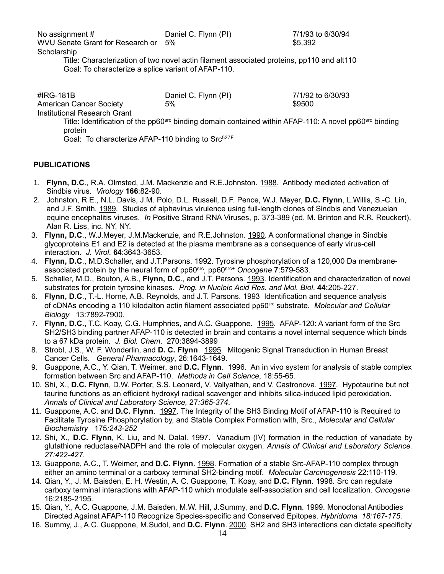**Scholarship** 

Title: Characterization of two novel actin filament associated proteins, pp110 and alt110 Goal: To characterize a splice variant of AFAP-110.

#IRG-181B Daniel C. Flynn (PI) 7/1/92 to 6/30/93

\$9500

American Cancer Society Institutional Research Grant

> Title: Identification of the pp60s<sup>rc</sup> binding domain contained within AFAP-110: A novel pp60src binding protein

Goal: To characterize AFAP-110 binding to Src<sup>527F</sup>

# **PUBLICATIONS**

- 1. **Flynn, D.C**., R.A. Olmsted, J.M. Mackenzie and R.E.Johnston. 1988. Antibody mediated activation of Sindbis virus. *Virology* **166**:82-90.
- 2. Johnston, R.E., N.L. Davis, J.M. Polo, D.L. Russell, D.F. Pence, W.J. Meyer, **D.C. Flynn**, L.Willis, S.-C. Lin, and J.F. Smith. 1989. Studies of alphavirus virulence using full-length clones of Sindbis and Venezuelan equine encephalitis viruses. *In* Positive Strand RNA Viruses, p. 373-389 (ed. M. Brinton and R.R. Reuckert), Alan R. Liss, inc. NY, NY.
- 3. **Flynn, D.C**., W.J.Meyer, J.M.Mackenzie, and R.E.Johnston. 1990. A conformational change in Sindbis glycoproteins E1 and E2 is detected at the plasma membrane as a consequence of early virus-cell interaction. *J. Virol*. **64**:3643-3653.
- 4. **Flynn, D.C**., M.D.Schaller, and J.T.Parsons. 1992. Tyrosine phosphorylation of a 120,000 Da membraneassociated protein by the neural form of pp60 src , pp60 src+ *Oncogene* **7**:579-583.
- 5. Schaller, M.D., Bouton, A.B., **Flynn, D.C**., and J.T. Parsons. 1993. Identification and characterization of novel substrates for protein tyrosine kinases. *Prog. in Nucleic Acid Res. and Mol. Biol*. **44:**205-227.
- 6. **Flynn, D.C**., T.-L. Horne, A.B. Reynolds, and J.T. Parsons. 1993 Identification and sequence analysis of cDNAs encoding a 110 kilodalton actin filament associated pp60src substrate. *Molecular and Cellular Biology* 13:7892-7900*.*
- 7. **Flynn, D.C.**, T.C. Koay, C.G. Humphries, and A.C. Guappone. 1995. AFAP-120: A variant form of the Src SH2/SH3 binding partner AFAP-110 is detected in brain and contains a novel internal sequence which binds to a 67 kDa protein. *J. Biol. Chem*. 270:3894-3899
- 8. Strobl, J.S., W. F. Wonderlin, and **D. C. Flynn**. 1995. Mitogenic Signal Transduction in Human Breast Cancer Cells. *General Pharmacology*, 26:1643-1649.
- 9. Guappone, A.C., Y. Qian, T. Weimer, and **D.C. Flynn**. 1996. An in vivo system for analysis of stable complex formation between Src and AFAP-110. *Methods in Cell Science*, 18:55-65.
- 10. Shi, X., **D.C. Flynn**, D.W. Porter, S.S. Leonard, V. Vallyathan, and V. Castronova. 1997. Hypotaurine but not taurine functions as an efficient hydroxyl radical scavenger and inhibits silica-induced lipid peroxidation. *Annals of Clinical and Laboratory Science,* 27*:365-374*.
- 11. Guappone, A.C. and **D.C. Flynn**. 1997. The Integrity of the SH3 Binding Motif of AFAP-110 is Required to Facilitate Tyrosine Phosphorylation by, and Stable Complex Formation with, Src., *Molecular and Cellular Biochemistry* 175*:243-252*
- 12. Shi, X., **D.C. Flynn**, K. Liu, and N. Dalal. 1997. Vanadium (IV) formation in the reduction of vanadate by glutathione reductase/NADPH and the role of molecular oxygen. *Annals of Clinical and Laboratory Science. 27:422-427*.
- 13. Guappone, A.C., T. Weimer, and **D.C. Flynn**. 1998. Formation of a stable Src-AFAP-110 complex through either an amino terminal or a carboxy terminal SH2-binding motif. *Molecular Carcinogenesis* 22:110-119*.*
- 14. Qian, Y., J. M. Baisden, E. H. Westin, A. C. Guappone, T. Koay, and **D.C. Flynn**. 1998. Src can regulate carboxy terminal interactions with AFAP-110 which modulate self-association and cell localization. *Oncogene*  16:2185-2195*.*
- 15. Qian, Y., A.C. Guappone, J.M. Baisden, M.W. Hill, J.Summy, and **D.C. Flynn**. 1999. Monoclonal Antibodies Directed Against AFAP-110 Recognize Species-specific and Conserved Epitopes. *Hybridoma 18:167-175*.
- 16. Summy, J., A.C. Guappone, M.Sudol, and **D.C. Flynn**. 2000. SH2 and SH3 interactions can dictate specificity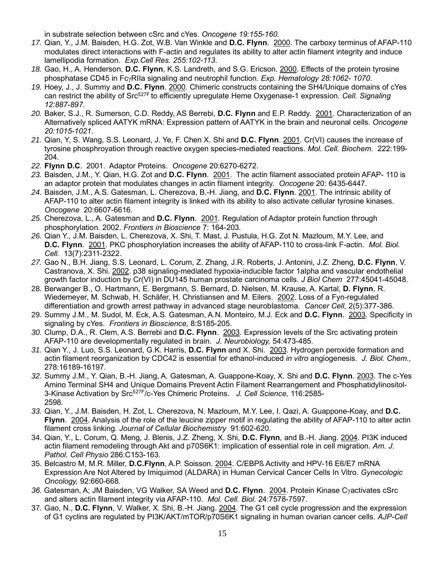in substrate selection between cSrc and cYes. *Oncogene 19:155-160.*

- *17.* Qian, Y., J.M. Baisden, H.G. Zot, W.B. Van Winkle and **D.C. Flynn**. 2000. The carboxy terminus of AFAP-110 modulates direct interactions with F-actin and regulates its ability to alter actin filament integrity and induce lamellipodia formation. *Exp.Cell Res. 255:102-113*.
- *18.* Gao, H., A. Henderson, **D.C. Flynn**, K.S. Landreth, and S.G. Ericson. 2000. Effects of the protein tyrosine phosphatase CD45 in FcRIIa signaling and neutrophil function. *Exp. Hematology 28:1062- 1070*.
- *19.* Hoey, J., J. Summy and **D.C. Flynn**. 2000. Chimeric constructs containing the SH4/Unique domains of cYes can restrict the ability of Src527F to efficiently upregulate Heme Oxygenase-1 expression. *Cell. Signaling 12:887-897*.
- *20.* Baker, S.J., R. Sumerson, C.D. Reddy, AS Berrebi, **D.C. Flynn** and E.P. Reddy. 2001. Characterization of an Alternatively spliced AATYK mRNA: Expression pattern of AATYK in the brain and neuronal cells. *Oncogene 20:1015-1021*.
- *21.* Qian, Y, S. Wang, S.S. Leonard, J. Ye, F. Chen X. Shi and **D.C. Flynn**. 2001. Cr(VI) causes the increase of tyrosine phosphroyation through reactive oxygen species-mediated reactions. *Mol. Cell. Biochem*. 222:199- 204.
- *22.* **Flynn D.C**. 2001. Adaptor Proteins. *Oncogene* 20:6270-6272.
- *23.* Baisden, J.M., Y. Qian, H.G. Zot and **D.C. Flynn**. 2001. The actin filament associated protein AFAP- 110 is an adaptor protein that modulates changes in actin filament integrity. *Oncogene* 20: 6435-6447.
- *24.* Baisden, J.M., A.S. Gatesman, L. Cherezova, B.-H. Jiang, and **D.C. Flynn**. 2001. The intrinsic ability of AFAP-110 to alter actin filament integrity is linked with its ability to also activate cellular tyrosine kinases. *Oncogene* 20:6607-6616*.*
- *25.* Cherezova, L., A. Gatesman and **D.C. Flynn**. 2001. Regulation of Adaptor protein function through phosphorylation. 2002. *Frontiers in Bioscience* 7: 164-203*.*
- *26.* Qian Y., J.M. Baisden, L. Cherezova, X. Shi, T. Mast, J. Pustula, H.G. Zot N. Mazloum, M.Y. Lee, and **D.C. Flynn**. 2001. PKC phosphorylation increases the ability of AFAP-110 to cross-link F-actin. *Mol. Biol. Cell.* 13(7):2311-2322.
- *27.* Gao N., B.H. Jiang, S.S. Leonard, L. Corum, Z. Zhang, J.R. Roberts, J. Antonini, J.Z. Zheng, **D.C. Flynn**, V. Castranova, X. Shi. 2002. p38 signaling-mediated hypoxia-inducible factor 1alpha and vascular endothelial growth factor induction by Cr(VI) in DU145 human prostate carcinoma cells. *J Biol Chem* 277:45041-45048.
- 28. Berwanger B., O. Hartmann, E. Bergmann, S. Bernard, D. Nielsen, M. Krause, A. Kartal, **D. Flynn**, R. Wiedemeyer, M. Schwab, H. Schäfer, H. Christiansen and M. Eilers. 2002. Loss of a Fyn-regulated differentiation and growth arrest pathway in advanced stage neuroblastoma. *Cancer Cell,* 2(5):377-386*.*
- 29. Summy J.M., M. Sudol, M. Eck, A.S. Gatesman, A.N. Monteiro, M.J. Eck and **D.C. Flynn**. 2003. Specificity in signaling by cYes. *Frontiers in Bioscience,* 8:S185-205.
- *30.* Clump, D.A., R. Clem, A.S. Berrebi and **D.C. Flynn**. 2003. Expression levels of the Src activating protein AFAP-110 are developmentally regulated in brain. *J. Neurobiology,* 54:473-485.
- *31.* Qian Y., J. Luo, S.S. Leonard, G.K. Harris, **D.C. Flynn** and X. Shi. 2003. Hydrogen peroxide formation and actin filament reorganization by CDC42 is essential for ethanol-induced *in vitro* angiogenesis. *J. Biol. Chem.,* 278:16189-16197.
- *32.* Summy J.M., Y. Qian, B.-H. Jiang, A. Gatesman, A. Guappone-Koay, X. Shi and **D.C. Flynn**. 2003. The c-Yes Amino Terminal SH4 and Unique Domains Prevent Actin Filament Rearrangement and Phosphatidylinositol-3-Kinase Activation by Src527F/c-Yes Chimeric Proteins. *J. Cell Science,* 116:2585- 2598*.*
- *33.* Qian, Y., J.M. Baisden, H. Zot, L. Cherezova, N. Mazloum, M.Y. Lee, I. Qazi, A. Guappone-Koay, and **D.C. Flynn**. 2004. Analysis of the role of the leucine zipper motif in regulating the ability of AFAP-110 to alter actin filament cross linking. *Journal of Cellular Biochemistry* 91:602-620.
- 34. Qian, Y., L. Corum, Q. Meng, J. Blenis, J.Z. Zheng, X. Shi, **D.C. Flynn**, and B.-H. Jiang. 2004. PI3K induced actin filament remodeling through Akt and p70S6K1: implication of essential role in cell migration. *Am. J. Pathol. Cell Physio* 286:C153-163.
- 35. Belcastro M, M.R. Miller, **D.C.Flynn**, A.P. Soisson. 2004. C/EBPß Activity and HPV-16 E6/E7 mRNA Expression Are Not Altered by Imiquimod (ALDARA) in Human Cervical Cancer Cells In Vitro. *Gynecologic Oncology,* 92:660-668.
- 36. Gatesman, A; JM Baisden, VG Walker, SA Weed and D.C. Flynn. 2004. Protein Kinase Cyactivates cSrc and alters actin filament integrity via AFAP-110. *Mol. Cell. Biol*. 24:7578-7597.
- 37. Gao, N., **D.C. Flynn**, V. Walker, X. Shi, B.-H. Jiang. 2004. The G1 cell cycle progression and the expression of G1 cyclins are regulated by PI3K/AKT/mTOR/p70S6K1 signaling in human ovarian cancer cells. *AJP-Cell*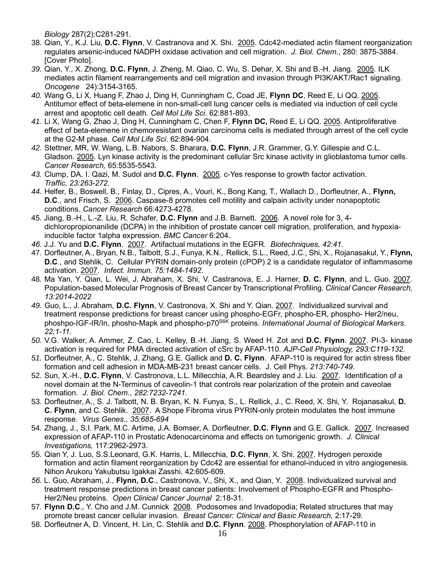*Biology* 287(2):C281-291.

- 38. Qian, Y., K.J. Liu, **D.C. Flynn**, V. Castranova and X. Shi. 2005. Cdc42-mediated actin filament reorganization regulates arsenic-induced NADPH oxidase activation and cell migration. *J. Biol. Chem*., 280: 3875-3884. [Cover Photo].
- *39.* Qian, Y., X. Zhong, **D.C. Flynn**, J. Zheng, M. Qiao, C. Wu, S. Dehar, X. Shi and B.-H. Jiang. 2005. ILK mediates actin filament rearrangements and cell migration and invasion through PI3K/AKT/Rac1 signaling. *Oncogene* 24):3154-3165.
- *40.* Wang G, Li X, Huang F, Zhao J, Ding H, Cunningham C, Coad JE, **Flynn DC**, Reed E, Li QQ. 2005. Antitumor effect of beta-elemene in non-small-cell lung cancer cells is mediated via induction of cell cycle arrest and apoptotic cell death. *Cell Mol Life Sci*. 62:881-893.
- *41.* Li X, Wang G, Zhao J, Ding H, Cunningham C, Chen F, **Flynn DC,** Reed E, Li QQ. 2005. Antiproliferative effect of beta-elemene in chemoresistant ovarian carcinoma cells is mediated through arrest of the cell cycle at the G2-M phase. *Cell Mol Life Sci*. 62:894-904.
- *42.* Stettner, MR, W. Wang, L.B. Nabors, S. Bharara, **D.C. Flynn**, J.R. Grammer, G.Y. Gillespie and C.L. Gladson. 2005. Lyn kinase activity is the predominant cellular Src kinase activity in glioblastoma tumor cells. *Cancer Research,* 65:5535-5543*.*
- *43.* Clump, DA, I. Qazi, M. Sudol and **D.C. Flynn**. 2005. c-Yes response to growth factor activation. *Traffic, 23:263-272*.
- *44.* Helfer, B., Boswell, B., Finlay, D., Cipres, A., Vouri, K., Bong Kang, T., Wallach D., Dorfleutner, A., **Flynn, D.C**., and Frisch, S. 2006. Caspase-8 promotes cell motility and calpain activity under nonapoptotic conditions. *Cancer Research* 66:4273-4278.
- 45. Jiang, B.-H., L.-Z. Liu, R. Schafer, **D.C. Flynn** and J.B. Barnett. 2006. A novel role for 3, 4 dichloropropionanilide (DCPA) in the inhibition of prostate cancer cell migration, proliferation, and hypoxiainducible factor 1alpha expression. *BMC Cancer* 6:204.
- *46.* J.J. Yu and **D.C. Flynn**. 2007. Artifactual mutations in the EGFR. *Biotechniques, 42:41*.
- 47. Dorfleutner, A., Bryan, N.B., Talbott, S.J., Funya, K.N., Rellick, S.L., Reed, J.C., Shi, X., Rojanasakul, Y., **Flynn, D.C**., and Stehlik, C. Cellular PYRIN domain-only protein (cPOP) 2 is a candidate regulator of inflammasome activation. 2007. *Infect. Immun. 75:1484-1492*.
- 48. Ma Yan, Y. Qian, L. Wei, J. Abraham, X. Shi, V. Castranova, E. J. Harner, **D. C. Flynn**, and L. Guo. 2007. Population-based Molecular Prognosis of Breast Cancer by Transcriptional Profiling. *Clinical Cancer Research, 13:2014-2022*
- *49.* Guo, L., J. Abraham, **D.C. Flynn**, V. Castronova, X. Shi and Y. Qian. 2007. Individualized survival and treatment response predictions for breast cancer using phospho-EGFr, phospho-ER, phospho- Her2/neu, phoshpo-IGF-IR/In, phosho-Mapk and phospho-p70 S6K proteins. *International Journal of Biological Markers*. *22;1-11*.
- *50.* V.G. Walker, A. Ammer, Z. Cao, L. Kelley, B.-H. Jiang, S. Weed H. Zot and **D.C. Flynn**. 2007. PI-3- kinase activation is required for PMA directed activation of cSrc by AFAP-110. *AJP-Cell Physiology, 293:C119-132*.
- *51.* Dorfleutner, A., C. Stehlik, J. Zhang, G.E. Gallick and **D. C. Flynn**. AFAP-110 is required for actin stress fiber formation and cell adhesion in MDA-MB-231 breast cancer cells. J. Cell Phys. *213:740-749*.
- 52. Sun, X.-H., **D.C. Flynn**, V. Castronova, L.L. Millecchia, A.R. Beardsley and J. Liu. 2007. Identification of a novel domain at the N-Terminus of caveolin-1 that controls rear polarization of the protein and caveolae formation. *J. Biol. Chem*., *282:7232-7241*.
- 53. Dorfleutner, A., S. J. Talbott, N. B. Bryan, K. N. Funya, S., L. Rellick, J., C. Reed, X. Shi, Y. Rojanasakul, **D. C. Flynn**, and C. Stehlik. 2007. A Shope Fibroma virus PYRIN-only protein modulates the host immune response. *Virus Genes., 35:685-694*
- 54. Zhang, J., S.I. Park, M.C. Artime, J.A. Bomser, A. Dorfleutner, **D.C. Flynn** and G.E. Gallick. 2007. Increased expression of AFAP-110 in Prostatic Adenocarcinoma and effects on tumorigenic growth*. J. Clinical Investigations,* 117:2962-2973.
- 55. Qian Y, J. Luo, S.S.Leonard, G.K. Harris, L. Millecchia, **D.C. Flynn**, X. Shi. 2007. Hydrogen peroxide formation and actin filament reorganization by Cdc42 are essential for ethanol-induced in vitro angiogenesis. Nihon Arukoru Yakubutsu Igakkai Zasshi. 42:605-609.
- *56.* L. Guo, Abraham, J., **Flynn, D.C**., Castronova, V., Shi, X., and Qian, Y. 2008. Individualized survival and treatment response predictions in breast cancer patients: Involvement of Phospho-EGFR and Phospho-Her2/Neu proteins. *Open Clinical Cancer Journal* 2:18-31*.*
- 57. **Flynn D.C**., Y. Cho and J.M. Cunnick 2008. Podosomes and Invadopodia; Related structures that may promote breast cancer cellular invasion. *Breast Cancer: Clinical and Basic Research,* 2:17-29.
- 58. Dorfleutner A, D. Vincent, H. Lin, C. Stehlik and **D.C. Flynn**. 2008. Phosphorylation of AFAP-110 in